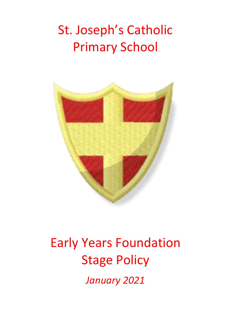## St. Joseph's Catholic Primary School



# Early Years Foundation Stage Policy

*January 2021*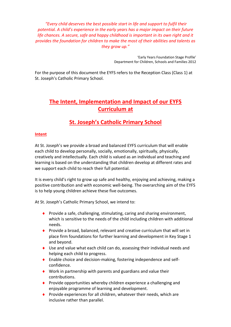*"Every child deserves the best possible start in life and support to fulfil their potential. A child's experience in the early years has a major impact on their future life chances. A secure, safe and happy childhood is important in its own right and it provides the foundation for children to make the most of their abilities and talents as they grow up."*

> 'Early Years Foundation Stage Profile' Department for Children, Schools and Families 2012

For the purpose of this document the EYFS refers to the Reception Class (Class 1) at St. Joseph's Catholic Primary School.

## **The Intent, Implementation and Impact of our EYFS Curriculum at**

## **St. Joseph's Catholic Primary School**

## **Intent**

At St. Joseph's we provide a broad and balanced EYFS curriculum that will enable each child to develop personally, socially, emotionally, spiritually, physically, creatively and intellectually. Each child is valued as an individual and teaching and learning is based on the understanding that children develop at different rates and we support each child to reach their full potential.

It is every child's right to grow up safe and healthy, enjoying and achieving, making a positive contribution and with economic well-being. The overarching aim of the EYFS is to help young children achieve these five outcomes.

At St. Joseph's Catholic Primary School, we intend to:

- ◆ Provide a safe, challenging, stimulating, caring and sharing environment, which is sensitive to the needs of the child including children with additional needs.
- **Provide a broad, balanced, relevant and creative curriculum that will set in** place firm foundations for further learning and development in Key Stage 1 and beyond.
- Use and value what each child can do, assessing their individual needs and helping each child to progress.
- Enable choice and decision-making, fostering independence and selfconfidence.
- Work in partnership with parents and guardians and value their contributions.
- ◆ Provide opportunities whereby children experience a challenging and enjoyable programme of learning and development.
- $\bullet$  Provide experiences for all children, whatever their needs, which are inclusive rather than parallel.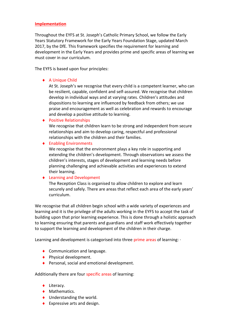### **Implementation**

Throughout the EYFS at St. Joseph's Catholic Primary School, we follow the Early Years Statutory Framework for the Early Years Foundation Stage, updated March 2017, by the DfE. This framework specifies the requirement for learning and development in the Early Years and provides prime and specific areas of learning we must cover in our curriculum.

The EYFS is based upon four principles:

## ◆ A Unique Child

At St. Joseph's we recognise that every child is a competent learner, who can be resilient, capable, confident and self-assured. We recognise that children develop in individual ways and at varying rates. Children's attitudes and dispositions to learning are influenced by feedback from others; we use praise and encouragement as well as celebration and rewards to encourage and develop a positive attitude to learning.

◆ Positive Relationships

We recognise that children learn to be strong and independent from secure relationships and aim to develop caring, respectful and professional relationships with the children and their families.

◆ Enabling Environments

We recognise that the environment plays a key role in supporting and extending the children's development. Through observations we assess the children's interests, stages of development and learning needs before planning challenging and achievable activities and experiences to extend their learning.

## ◆ Learning and Development

The Reception Class is organised to allow children to explore and learn securely and safely. There are areas that reflect each area of the early years' curriculum.

We recognise that all children begin school with a wide variety of experiences and learning and it is the privilege of the adults working in the EYFS to accept the task of building upon that prior learning experience. This is done through a holistic approach to learning ensuring that parents and guardians and staff work effectively together to support the learning and development of the children in their charge.

Learning and development is categorised into three prime areas of learning:  $\cdot$ 

- ◆ Communication and language.
- ◆ Physical development.
- ◆ Personal, social and emotional development.

Additionally there are four specific areas of learning:

- ◆ Literacy.
- ◆ Mathematics.
- ◆ Understanding the world.
- ◆ Expressive arts and design.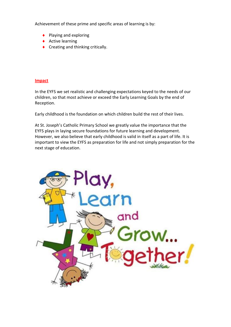Achievement of these prime and specific areas of learning is by:

- ◆ Playing and exploring
- $\triangle$  Active learning
- ◆ Creating and thinking critically.

### **Impact**

In the EYFS we set realistic and challenging expectations keyed to the needs of our children, so that most achieve or exceed the Early Learning Goals by the end of Reception.

Early childhood is the foundation on which children build the rest of their lives.

At St. Joseph's Catholic Primary School we greatly value the importance that the EYFS plays in laying secure foundations for future learning and development. However, we also believe that early childhood is valid in itself as a part of life. It is important to view the EYFS as preparation for life and not simply preparation for the next stage of education.

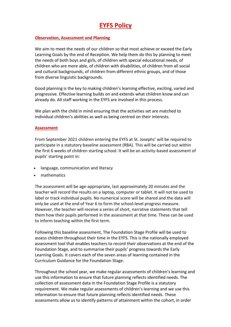## **EYFS Policy**

## **Observation, Assessment and Planning**

We aim to meet the needs of our children so that most achieve or exceed the Early Learning Goals by the end of Reception. We help them do this by planning to meet the needs of both boys and girls, of children with special educational needs, of children who are more able, of children with disabilities, of children from all social and cultural backgrounds, of children from different ethnic groups, and of those from diverse linguistic backgrounds.

Good planning is the key to making children's learning effective, exciting, varied and progressive. Effective learning builds on and extends what children know and can already do. All staff working in the EYFS are involved in this process.

We plan with the child in mind ensuring that the activities set are matched to individual children's abilities as well as being centred on their interests.

## **Assessment**

From September 2021 children entering the EYFS at St. Josephs' will be required to participate in a statutory baseline assessment (RBA). This will be carried out within the first 6 weeks of children starting school. It will be an activity-based assessment of pupils' starting point in:

- language, communication and literacy
- mathematics

The assessment will be age-appropriate, last approximately 20 minutes and the teacher will record the results on a laptop, computer or tablet. It will not be used to label or track individual pupils. No numerical score will be shared and the data will only be used at the end of Year 6 to form the school-level progress measure. However, the teacher will receive a series of short, narrative statements that tell them how their pupils performed in the assessment at that time. These can be used to inform teaching within the first term.

Following this baseline assessment, The Foundation Stage Profile will be used to assess children throughout their time in the EYFS. This is the nationally employed assessment tool that enables teachers to record their observations at the end of the Foundation Stage, and to summarise their pupils' progress towards the Early Learning Goals. It covers each of the seven areas of learning contained in the Curriculum Guidance for the Foundation Stage.

Throughout the school year, we make regular assessments of children's learning and use this information to ensure that future planning reflects identified needs. The collection of assessment data in the Foundation Stage Profile is a statutory requirement. We make regular assessments of children's learning and we use this information to ensure that future planning reflects identified needs. These assessments allow us to identify patterns of attainment within the cohort, in order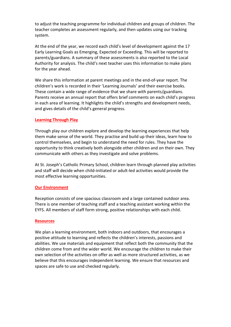to adjust the teaching programme for individual children and groups of children. The teacher completes an assessment regularly, and then updates using our tracking system.

At the end of the year, we record each child's level of development against the 17 Early Learning Goals as Emerging, Expected or Exceeding. This will be reported to parents/guardians. A summary of these assessments is also reported to the Local Authority for analysis. The child's next teacher uses this information to make plans for the year ahead.

We share this information at parent meetings and in the end-of-year report. The children's work is recorded in their 'Learning Journals' and their exercise books. These contain a wide range of evidence that we share with parents/guardians. Parents receive an annual report that offers brief comments on each child's progress in each area of learning. It highlights the child's strengths and development needs, and gives details of the child's general progress.

## **Learning Through Play**

Through play our children explore and develop the learning experiences that help them make sense of the world. They practise and build up their ideas, learn how to control themselves, and begin to understand the need for rules. They have the opportunity to think creatively both alongside other children and on their own. They communicate with others as they investigate and solve problems.

At St. Joseph's Catholic Primary School, children learn through planned play activities and staff will decide when child-initiated or adult-led activities would provide the most effective learning opportunities.

#### **Our Environment**

Reception consists of one spacious classroom and a large contained outdoor area. There is one member of teaching staff and a teaching assistant working within the EYFS. All members of staff form strong, positive relationships with each child.

#### **Resources**

We plan a learning environment, both indoors and outdoors, that encourages a positive attitude to learning and reflects the children's interests, passions and abilities. We use materials and equipment that reflect both the community that the children come from and the wider world. We encourage the children to make their own selection of the activities on offer as well as more structured activities, as we believe that this encourages independent learning. We ensure that resources and spaces are safe to use and checked regularly.